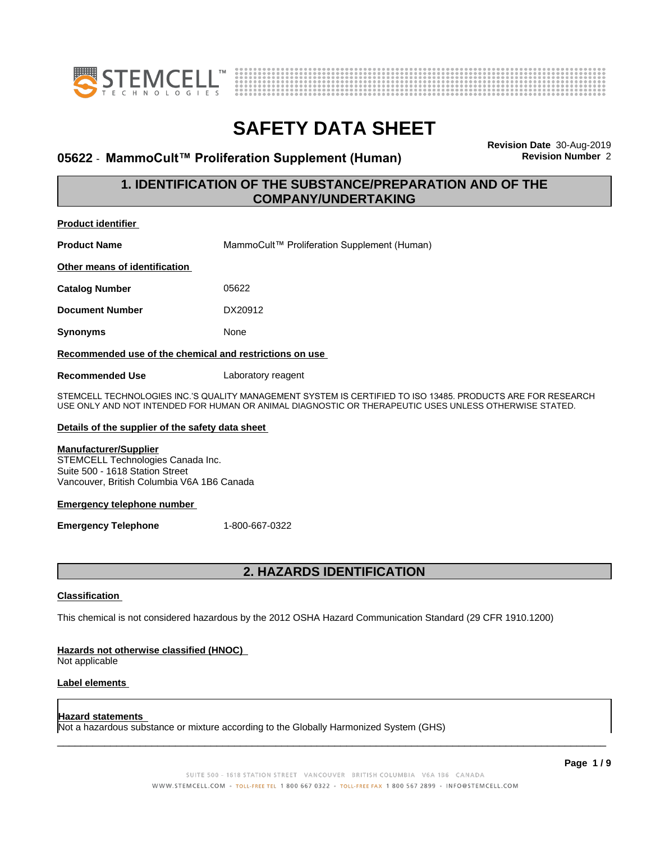



#### **05622 ⋅ MammoCult™ Proliferation Supplement (Human)**

**Revision Date** 30-Aug-2019

#### **1. IDENTIFICATION OF THE SUBSTANCE/PREPARATION AND OF THE COMPANY/UNDERTAKING**

| <b>Product identifier</b>                                                                                                                          |                                                                                                                                                                                                                      |
|----------------------------------------------------------------------------------------------------------------------------------------------------|----------------------------------------------------------------------------------------------------------------------------------------------------------------------------------------------------------------------|
| <b>Product Name</b>                                                                                                                                | MammoCult™ Proliferation Supplement (Human)                                                                                                                                                                          |
| Other means of identification                                                                                                                      |                                                                                                                                                                                                                      |
| <b>Catalog Number</b>                                                                                                                              | 05622                                                                                                                                                                                                                |
| <b>Document Number</b>                                                                                                                             | DX20912                                                                                                                                                                                                              |
| Synonyms                                                                                                                                           | None                                                                                                                                                                                                                 |
| Recommended use of the chemical and restrictions on use                                                                                            |                                                                                                                                                                                                                      |
| <b>Recommended Use</b>                                                                                                                             | Laboratory reagent                                                                                                                                                                                                   |
|                                                                                                                                                    | STEMCELL TECHNOLOGIES INC.'S QUALITY MANAGEMENT SYSTEM IS CERTIFIED TO ISO 13485. PRODUCTS ARE FOR RESEARCH<br>USE ONLY AND NOT INTENDED FOR HUMAN OR ANIMAL DIAGNOSTIC OR THERAPEUTIC USES UNLESS OTHERWISE STATED. |
| Details of the supplier of the safety data sheet                                                                                                   |                                                                                                                                                                                                                      |
| <b>Manufacturer/Supplier</b><br>STEMCELL Technologies Canada Inc.<br>Suite 500 - 1618 Station Street<br>Vancouver, British Columbia V6A 1B6 Canada |                                                                                                                                                                                                                      |
| <b>Emergency telephone number</b>                                                                                                                  |                                                                                                                                                                                                                      |
| <b>Emergency Telephone</b>                                                                                                                         | 1-800-667-0322                                                                                                                                                                                                       |
|                                                                                                                                                    |                                                                                                                                                                                                                      |

#### **2. HAZARDS IDENTIFICATION**

#### **Classification**

This chemical is not considered hazardous by the 2012 OSHA Hazard Communication Standard (29 CFR 1910.1200)

#### **Hazards not otherwise classified (HNOC)**

Not applicable

#### **Label elements**

#### **Hazard statements**

Not a hazardous substance or mixture according to the Globally Harmonized System (GHS)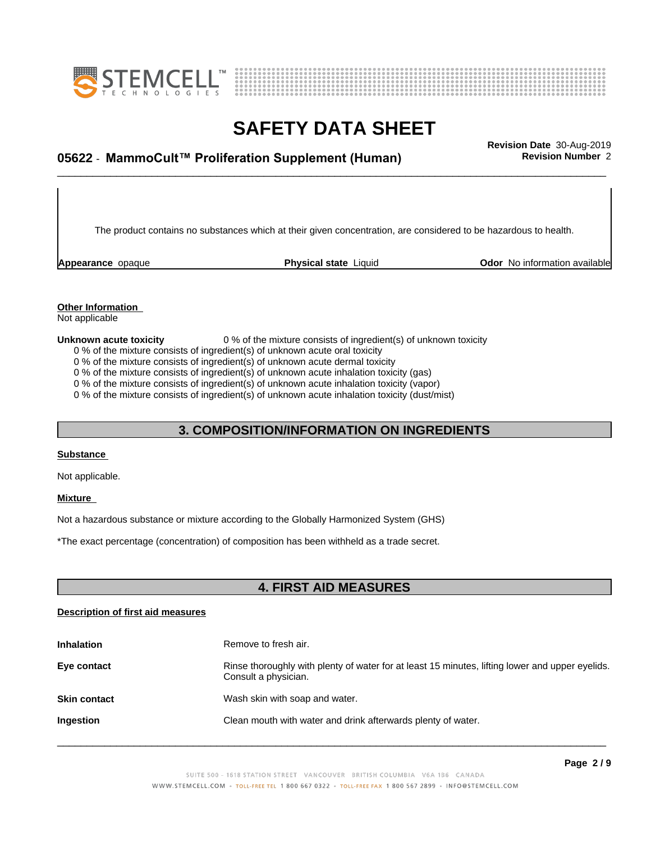



### \_\_\_\_\_\_\_\_\_\_\_\_\_\_\_\_\_\_\_\_\_\_\_\_\_\_\_\_\_\_\_\_\_\_\_\_\_\_\_\_\_\_\_\_\_\_\_\_\_\_\_\_\_\_\_\_\_\_\_\_\_\_\_\_\_\_\_\_\_\_\_\_\_\_\_\_\_\_\_\_\_\_\_\_\_\_\_\_\_\_\_\_\_ **Revision Date** 30-Aug-2019 **05622** - **MammoCult™ ProliferationSupplement(Human) Revision Number** 2

The product contains no substances which at their given concentration, are considered to be hazardous to health.

**Appearance** opaque **Physical state** Liquid **Odor No information available Appearance** opaque

#### **Other Information**

Not applicable

**Unknown acute toxicity** 0 % of the mixture consists of ingredient(s) of unknown toxicity 0 % of the mixture consists of ingredient(s) of unknown acute oral toxicity

0 % of the mixture consists of ingredient(s) of unknown acute dermal toxicity

0 % of the mixture consists of ingredient(s) of unknown acute inhalation toxicity (gas)

0 % of the mixture consists of ingredient(s) of unknown acute inhalation toxicity (vapor)

0 % of the mixture consists of ingredient(s) of unknown acute inhalation toxicity (dust/mist)

#### **3. COMPOSITION/INFORMATION ON INGREDIENTS**

#### **Substance**

Not applicable.

#### **Mixture**

Not a hazardous substance or mixture according to the Globally Harmonized System (GHS)

\*The exact percentage (concentration) ofcomposition has been withheld as a trade secret.

#### **4. FIRST AID MEASURES**

#### **Description of first aid measures**

| <b>Inhalation</b>   | Remove to fresh air.                                                                                                    |
|---------------------|-------------------------------------------------------------------------------------------------------------------------|
| Eye contact         | Rinse thoroughly with plenty of water for at least 15 minutes, lifting lower and upper eyelids.<br>Consult a physician. |
| <b>Skin contact</b> | Wash skin with soap and water.                                                                                          |
| Ingestion           | Clean mouth with water and drink afterwards plenty of water.                                                            |
|                     |                                                                                                                         |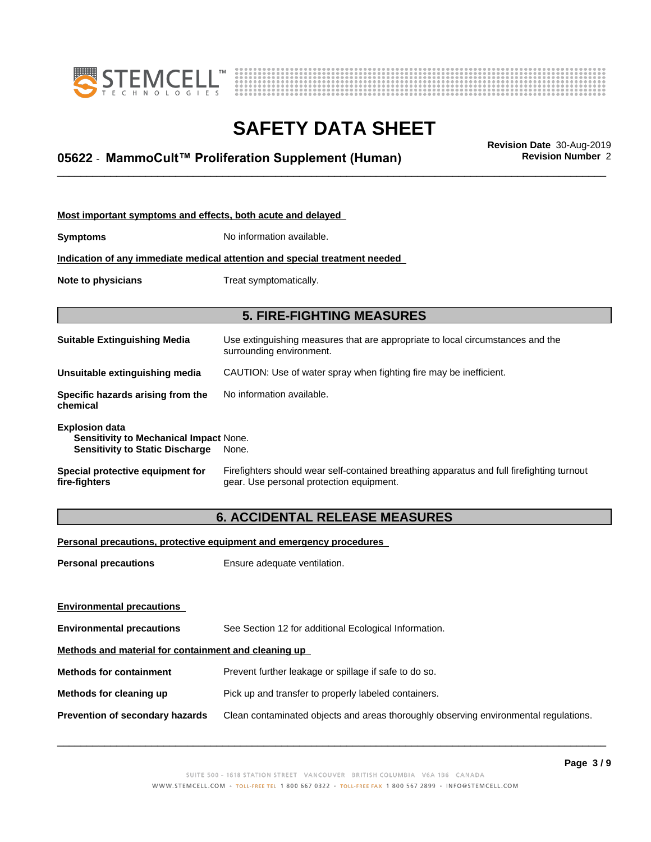



### \_\_\_\_\_\_\_\_\_\_\_\_\_\_\_\_\_\_\_\_\_\_\_\_\_\_\_\_\_\_\_\_\_\_\_\_\_\_\_\_\_\_\_\_\_\_\_\_\_\_\_\_\_\_\_\_\_\_\_\_\_\_\_\_\_\_\_\_\_\_\_\_\_\_\_\_\_\_\_\_\_\_\_\_\_\_\_\_\_\_\_\_\_ **Revision Date** 30-Aug-2019 **05622** - **MammoCult™ ProliferationSupplement(Human) Revision Number** 2

| Most important symptoms and effects, both acute and delayed                                                      |                                                                                                                                       |  |
|------------------------------------------------------------------------------------------------------------------|---------------------------------------------------------------------------------------------------------------------------------------|--|
| <b>Symptoms</b>                                                                                                  | No information available.                                                                                                             |  |
|                                                                                                                  | Indication of any immediate medical attention and special treatment needed                                                            |  |
| Note to physicians                                                                                               | Treat symptomatically.                                                                                                                |  |
|                                                                                                                  |                                                                                                                                       |  |
|                                                                                                                  | <b>5. FIRE-FIGHTING MEASURES</b>                                                                                                      |  |
| <b>Suitable Extinguishing Media</b>                                                                              | Use extinguishing measures that are appropriate to local circumstances and the<br>surrounding environment.                            |  |
| Unsuitable extinguishing media                                                                                   | CAUTION: Use of water spray when fighting fire may be inefficient.                                                                    |  |
| Specific hazards arising from the<br>chemical                                                                    | No information available.                                                                                                             |  |
| <b>Explosion data</b><br><b>Sensitivity to Mechanical Impact None.</b><br><b>Sensitivity to Static Discharge</b> | None.                                                                                                                                 |  |
| Special protective equipment for<br>fire-fighters                                                                | Firefighters should wear self-contained breathing apparatus and full firefighting turnout<br>gear. Use personal protection equipment. |  |

### **6. ACCIDENTAL RELEASE MEASURES**

**Personal precautions, protective equipment and emergency procedures**

**Personal precautions** Ensure adequate ventilation.

| <b>Environmental precautions</b>                     |                                                                                      |  |
|------------------------------------------------------|--------------------------------------------------------------------------------------|--|
| <b>Environmental precautions</b>                     | See Section 12 for additional Ecological Information.                                |  |
| Methods and material for containment and cleaning up |                                                                                      |  |
| <b>Methods for containment</b>                       | Prevent further leakage or spillage if safe to do so.                                |  |
| Methods for cleaning up                              | Pick up and transfer to properly labeled containers.                                 |  |
| <b>Prevention of secondary hazards</b>               | Clean contaminated objects and areas thoroughly observing environmental regulations. |  |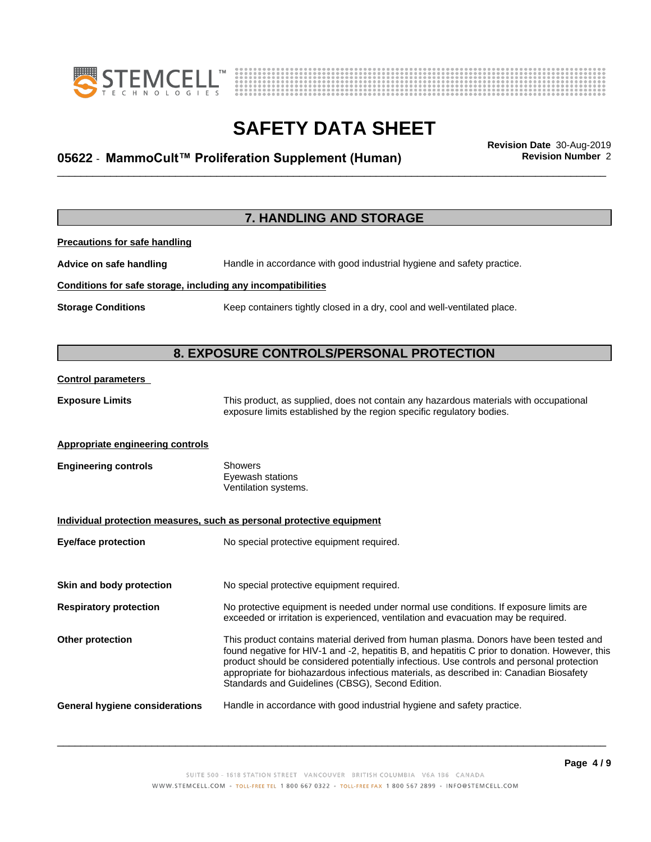



# **SAFETY DATA SHEET**<br>Revision Date 30-Aug-2019

### \_\_\_\_\_\_\_\_\_\_\_\_\_\_\_\_\_\_\_\_\_\_\_\_\_\_\_\_\_\_\_\_\_\_\_\_\_\_\_\_\_\_\_\_\_\_\_\_\_\_\_\_\_\_\_\_\_\_\_\_\_\_\_\_\_\_\_\_\_\_\_\_\_\_\_\_\_\_\_\_\_\_\_\_\_\_\_\_\_\_\_\_\_ **Revision Date** 30-Aug-2019 **05622** - **MammoCult™ ProliferationSupplement(Human) Revision Number** 2

|                                                              | 7. HANDLING AND STORAGE                                                                                                                                                                                                                                                                                                                                                                                                            |
|--------------------------------------------------------------|------------------------------------------------------------------------------------------------------------------------------------------------------------------------------------------------------------------------------------------------------------------------------------------------------------------------------------------------------------------------------------------------------------------------------------|
| <b>Precautions for safe handling</b>                         |                                                                                                                                                                                                                                                                                                                                                                                                                                    |
| Advice on safe handling                                      | Handle in accordance with good industrial hygiene and safety practice.                                                                                                                                                                                                                                                                                                                                                             |
| Conditions for safe storage, including any incompatibilities |                                                                                                                                                                                                                                                                                                                                                                                                                                    |
| <b>Storage Conditions</b>                                    | Keep containers tightly closed in a dry, cool and well-ventilated place.                                                                                                                                                                                                                                                                                                                                                           |
|                                                              | 8. EXPOSURE CONTROLS/PERSONAL PROTECTION                                                                                                                                                                                                                                                                                                                                                                                           |
|                                                              |                                                                                                                                                                                                                                                                                                                                                                                                                                    |
| <b>Control parameters</b>                                    |                                                                                                                                                                                                                                                                                                                                                                                                                                    |
| <b>Exposure Limits</b>                                       | This product, as supplied, does not contain any hazardous materials with occupational<br>exposure limits established by the region specific regulatory bodies.                                                                                                                                                                                                                                                                     |
| <b>Appropriate engineering controls</b>                      |                                                                                                                                                                                                                                                                                                                                                                                                                                    |
| <b>Engineering controls</b>                                  | <b>Showers</b><br>Eyewash stations<br>Ventilation systems.                                                                                                                                                                                                                                                                                                                                                                         |
|                                                              | Individual protection measures, such as personal protective equipment                                                                                                                                                                                                                                                                                                                                                              |
| <b>Eye/face protection</b>                                   | No special protective equipment required.                                                                                                                                                                                                                                                                                                                                                                                          |
| Skin and body protection                                     | No special protective equipment required.                                                                                                                                                                                                                                                                                                                                                                                          |
| <b>Respiratory protection</b>                                | No protective equipment is needed under normal use conditions. If exposure limits are<br>exceeded or irritation is experienced, ventilation and evacuation may be required.                                                                                                                                                                                                                                                        |
| Other protection                                             | This product contains material derived from human plasma. Donors have been tested and<br>found negative for HIV-1 and -2, hepatitis B, and hepatitis C prior to donation. However, this<br>product should be considered potentially infectious. Use controls and personal protection<br>appropriate for biohazardous infectious materials, as described in: Canadian Biosafety<br>Standards and Guidelines (CBSG), Second Edition. |
| <b>General hygiene considerations</b>                        | Handle in accordance with good industrial hygiene and safety practice.                                                                                                                                                                                                                                                                                                                                                             |
|                                                              |                                                                                                                                                                                                                                                                                                                                                                                                                                    |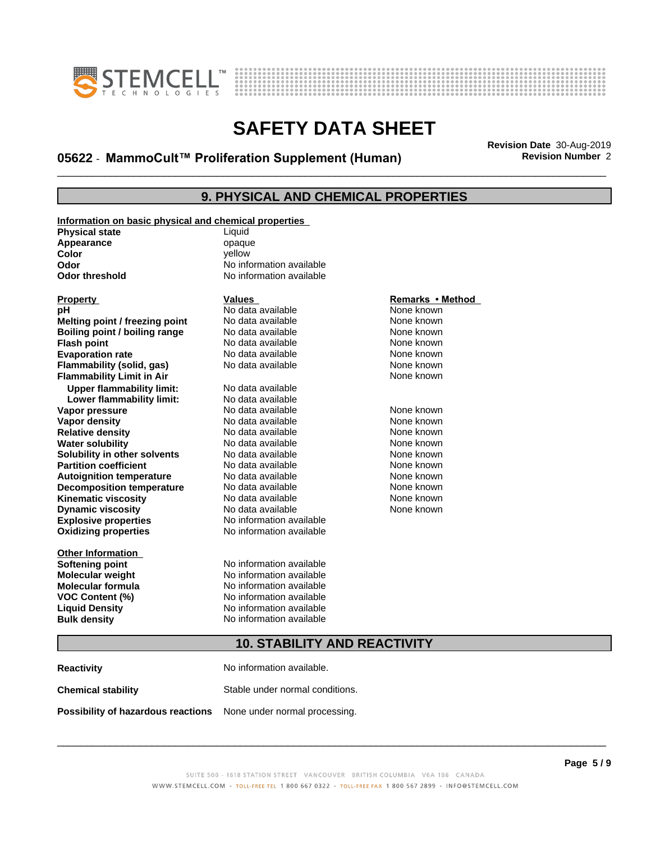

**Information on basic physical and chemical properties**



### **SAFETY DATA SHEET**

### \_\_\_\_\_\_\_\_\_\_\_\_\_\_\_\_\_\_\_\_\_\_\_\_\_\_\_\_\_\_\_\_\_\_\_\_\_\_\_\_\_\_\_\_\_\_\_\_\_\_\_\_\_\_\_\_\_\_\_\_\_\_\_\_\_\_\_\_\_\_\_\_\_\_\_\_\_\_\_\_\_\_\_\_\_\_\_\_\_\_\_\_\_ **Revision Date** 30-Aug-2019 **05622** - **MammoCult™ ProliferationSupplement(Human) Revision Number** 2

#### **9. PHYSICAL AND CHEMICAL PROPERTIES**

| <u>Information on basic physical and chemical properties</u><br><b>Physical state</b> | Liquid                   |                  |
|---------------------------------------------------------------------------------------|--------------------------|------------------|
| Appearance                                                                            | opaque                   |                  |
| Color                                                                                 | vellow                   |                  |
| Odor                                                                                  | No information available |                  |
| <b>Odor threshold</b>                                                                 | No information available |                  |
|                                                                                       |                          |                  |
| <b>Property</b>                                                                       | <b>Values</b>            | Remarks • Method |
| рH                                                                                    | No data available        | None known       |
| Melting point / freezing point                                                        | No data available        | None known       |
| Boiling point / boiling range                                                         | No data available        | None known       |
| <b>Flash point</b>                                                                    | No data available        | None known       |
| <b>Evaporation rate</b>                                                               | No data available        | None known       |
| Flammability (solid, gas)                                                             | No data available        | None known       |
| <b>Flammability Limit in Air</b>                                                      |                          | None known       |
| <b>Upper flammability limit:</b>                                                      | No data available        |                  |
| Lower flammability limit:                                                             | No data available        |                  |
| Vapor pressure                                                                        | No data available        | None known       |
| <b>Vapor density</b>                                                                  | No data available        | None known       |
| <b>Relative density</b>                                                               | No data available        | None known       |
| <b>Water solubility</b>                                                               | No data available        | None known       |
| Solubility in other solvents                                                          | No data available        | None known       |
| <b>Partition coefficient</b>                                                          | No data available        | None known       |
| <b>Autoignition temperature</b>                                                       | No data available        | None known       |
| <b>Decomposition temperature</b>                                                      | No data available        | None known       |
| <b>Kinematic viscosity</b>                                                            | No data available        | None known       |
| <b>Dynamic viscosity</b>                                                              | No data available        | None known       |
| <b>Explosive properties</b>                                                           | No information available |                  |
| <b>Oxidizing properties</b>                                                           | No information available |                  |
| <b>Other Information</b>                                                              |                          |                  |
|                                                                                       | No information available |                  |
| <b>Softening point</b>                                                                | No information available |                  |
| Molecular weight<br><b>Molecular formula</b>                                          | No information available |                  |
|                                                                                       |                          |                  |
| VOC Content (%)                                                                       | No information available |                  |
| <b>Liquid Density</b>                                                                 | No information available |                  |
| <b>Bulk density</b>                                                                   | No information available |                  |
|                                                                                       |                          |                  |

### **10. STABILITY AND REACTIVITY**

| <b>Reactivity</b>                                                       | No information available.       |
|-------------------------------------------------------------------------|---------------------------------|
| <b>Chemical stability</b>                                               | Stable under normal conditions. |
| <b>Possibility of hazardous reactions</b> None under normal processing. |                                 |

#### SUITE 500 - 1618 STATION STREET VANCOUVER BRITISH COLUMBIA V6A 1B6 CANADA WWW.STEMCELL.COM • TOLL-FREE TEL 1 800 667 0322 • TOLL-FREE FAX 1 800 567 2899 • INFO@STEMCELL.COM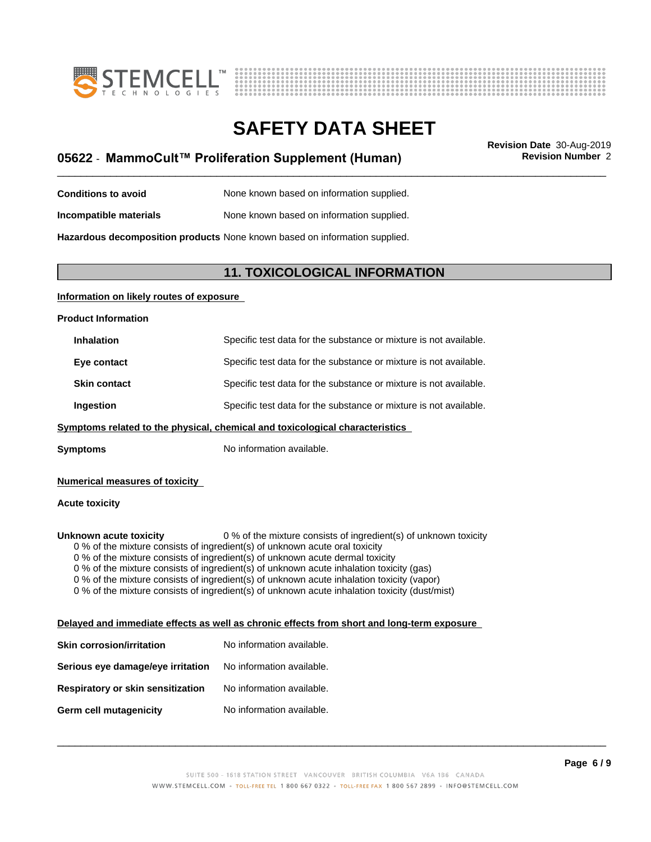



### \_\_\_\_\_\_\_\_\_\_\_\_\_\_\_\_\_\_\_\_\_\_\_\_\_\_\_\_\_\_\_\_\_\_\_\_\_\_\_\_\_\_\_\_\_\_\_\_\_\_\_\_\_\_\_\_\_\_\_\_\_\_\_\_\_\_\_\_\_\_\_\_\_\_\_\_\_\_\_\_\_\_\_\_\_\_\_\_\_\_\_\_\_ **Revision Date** 30-Aug-2019 **05622** - **MammoCult™ ProliferationSupplement(Human) Revision Number** 2

| <b>Conditions to avoid</b> | None known based on information supplied. |  |
|----------------------------|-------------------------------------------|--|
|----------------------------|-------------------------------------------|--|

**Incompatible materials** None known based on information supplied.

**Hazardous decomposition products** None known based on information supplied.

#### **11. TOXICOLOGICAL INFORMATION**

#### **Information on likely routes of exposure**

**Product Information**

| <b>Inhalation</b>   | Specific test data for the substance or mixture is not available. |
|---------------------|-------------------------------------------------------------------|
| Eye contact         | Specific test data for the substance or mixture is not available. |
| <b>Skin contact</b> | Specific test data for the substance or mixture is not available. |
| Ingestion           | Specific test data for the substance or mixture is not available. |

#### **<u>Symptoms related to the physical, chemical and toxicological characteristics</u>**

**Symptoms** No information available.

#### **Numerical measures of toxicity**

#### **Acute toxicity**

**Unknown acute toxicity** 0 % of the mixture consists of ingredient(s) of unknown toxicity

0 % of the mixture consists of ingredient(s) of unknown acute oral toxicity

 $0$  % of the mixture consists of ingredient(s) of unknown acute dermal toxicity

0 % of the mixture consists of ingredient(s) of unknown acute inhalation toxicity (gas)

0 % of the mixture consists of ingredient(s) of unknown acute inhalation toxicity (vapor)

0 % of the mixture consists of ingredient(s) of unknown acute inhalation toxicity (dust/mist)

#### **Delayed and immediate effects as well as chronic effects from short and long-term exposure**

| Skin corrosion/irritation         | No information available. |
|-----------------------------------|---------------------------|
| Serious eye damage/eye irritation | No information available. |
| Respiratory or skin sensitization | No information available. |
| Germ cell mutagenicity            | No information available. |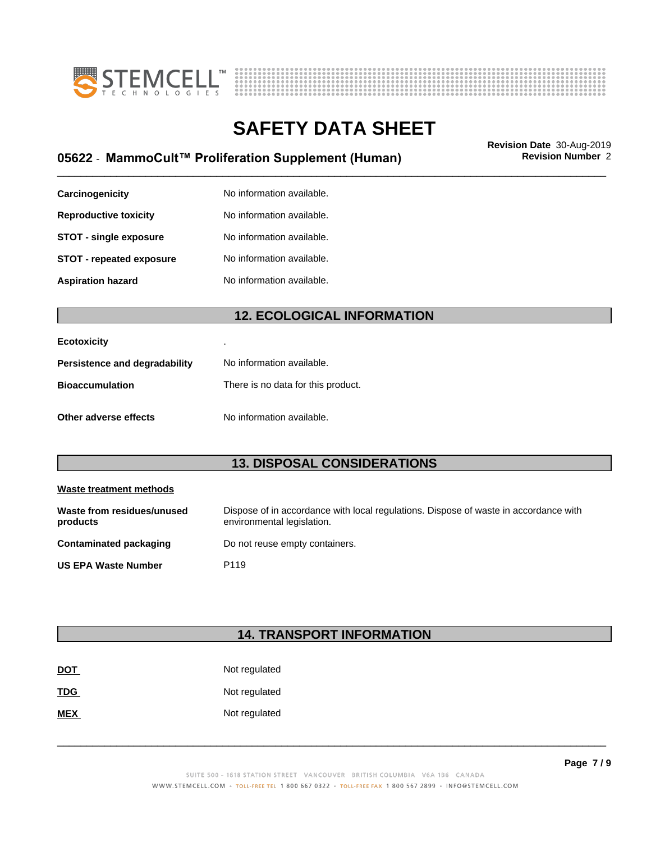



### \_\_\_\_\_\_\_\_\_\_\_\_\_\_\_\_\_\_\_\_\_\_\_\_\_\_\_\_\_\_\_\_\_\_\_\_\_\_\_\_\_\_\_\_\_\_\_\_\_\_\_\_\_\_\_\_\_\_\_\_\_\_\_\_\_\_\_\_\_\_\_\_\_\_\_\_\_\_\_\_\_\_\_\_\_\_\_\_\_\_\_\_\_ **Revision Date** 30-Aug-2019 **05622** - **MammoCult™ ProliferationSupplement(Human) Revision Number** 2

| Carcinogenicity               | No information available. |
|-------------------------------|---------------------------|
| <b>Reproductive toxicity</b>  | No information available. |
| <b>STOT - single exposure</b> | No information available. |
| STOT - repeated exposure      | No information available. |
| <b>Aspiration hazard</b>      | No information available. |

#### **12. ECOLOGICAL INFORMATION**

| <b>Ecotoxicity</b>            |                                    |
|-------------------------------|------------------------------------|
| Persistence and degradability | No information available.          |
| <b>Bioaccumulation</b>        | There is no data for this product. |
| Other adverse effects         | No information available.          |

#### **13. DISPOSAL CONSIDERATIONS**

| Waste treatment methods                |                                                                                                                    |  |
|----------------------------------------|--------------------------------------------------------------------------------------------------------------------|--|
| Waste from residues/unused<br>products | Dispose of in accordance with local regulations. Dispose of waste in accordance with<br>environmental legislation. |  |
| <b>Contaminated packaging</b>          | Do not reuse empty containers.                                                                                     |  |
| <b>US EPA Waste Number</b>             | P <sub>119</sub>                                                                                                   |  |

### **14. TRANSPORT INFORMATION**

| <u>DOT</u> | Not regulated |
|------------|---------------|
| <b>TDG</b> | Not regulated |
| <b>MEX</b> | Not regulated |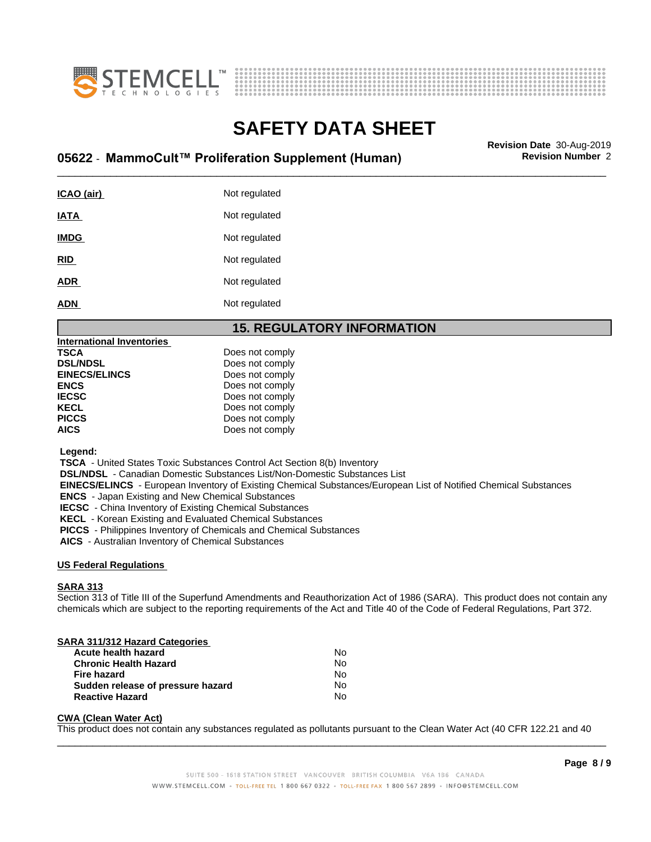



### \_\_\_\_\_\_\_\_\_\_\_\_\_\_\_\_\_\_\_\_\_\_\_\_\_\_\_\_\_\_\_\_\_\_\_\_\_\_\_\_\_\_\_\_\_\_\_\_\_\_\_\_\_\_\_\_\_\_\_\_\_\_\_\_\_\_\_\_\_\_\_\_\_\_\_\_\_\_\_\_\_\_\_\_\_\_\_\_\_\_\_\_\_ **Revision Date** 30-Aug-2019 **05622** - **MammoCult™ ProliferationSupplement(Human) Revision Number** 2

| ICAO (air)  | Not regulated |
|-------------|---------------|
| IATA        | Not regulated |
| <b>IMDG</b> | Not regulated |
| <b>RID</b>  | Not regulated |
| <b>ADR</b>  | Not regulated |
| <b>ADN</b>  | Not regulated |
|             |               |

#### **15. REGULATORY INFORMATION**

| Does not comply |
|-----------------|
| Does not comply |
| Does not comply |
| Does not comply |
| Does not comply |
| Does not comply |
| Does not comply |
| Does not comply |
|                 |

 **Legend:**

 **TSCA** - United States Toxic Substances Control Act Section 8(b) Inventory

 **DSL/NDSL** - Canadian Domestic Substances List/Non-Domestic Substances List

 **EINECS/ELINCS** - European Inventory of Existing Chemical Substances/European List of Notified Chemical Substances

 **ENCS** - Japan Existing and New Chemical Substances

 **IECSC** - China Inventory of Existing Chemical Substances

 **KECL** - Korean Existing and Evaluated Chemical Substances

 **PICCS** - Philippines Inventory of Chemicals and Chemical Substances

 **AICS** - Australian Inventory of Chemical Substances

#### **US Federal Regulations**

#### **SARA 313**

Section 313 of Title III of the Superfund Amendments and Reauthorization Act of 1986 (SARA). This product does not contain any chemicals which are subject to the reporting requirements of the Act and Title 40 of the Code of Federal Regulations, Part 372.

#### **SARA 311/312 Hazard Categories**

| Acute health hazard               | No. |  |
|-----------------------------------|-----|--|
| <b>Chronic Health Hazard</b>      | No  |  |
| Fire hazard                       | N٥  |  |
| Sudden release of pressure hazard | N٥  |  |
| <b>Reactive Hazard</b>            | No  |  |

#### **CWA (Clean WaterAct)**

This product does not contain any substances regulated as pollutants pursuant to the Clean Water Act (40 CFR 122.21 and 40